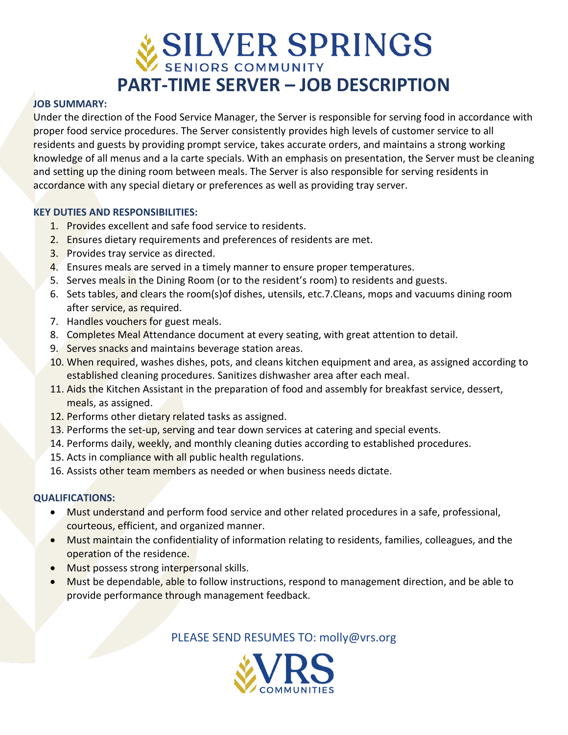# **SILVER SPRINGS PART-TIME SERVER – JOB DESCRIPTION**

#### **JOB SUMMARY:**

Under the direction of the Food Service Manager, the Server is responsible for serving food in accordance with proper food service procedures. The Server consistently provides high levels of customer service to all residents and guests by providing prompt service, takes accurate orders, and maintains a strong working knowledge of all menus and a la carte specials. With an emphasis on presentation, the Server must be cleaning and setting up the dining room between meals. The Server is also responsible for serving residents in accordance with any special dietary or preferences as well as providing tray server.

#### **KEY DUTIES AND RESPONSIBILITIES:**

- 1. Provides excellent and safe food service to residents.
- 2. Ensures dietary requirements and preferences of residents are met.
- 3. Provides tray service as directed.
- 4. Ensures meals are served in a timely manner to ensure proper temperatures.
- 5. Serves meals in the Dining Room (or to the resident's room) to residents and guests.
- 6. Sets tables, and clears the room(s) of dishes, utensils, etc.7. Cleans, mops and vacuums dining room after service, as required.
- 7. Handles vouchers for guest meals.
- 8. Completes Meal Attendance document at every seating, with great attention to detail.
- 9. Serves snacks and maintains beverage station areas.
- 10. When required, washes dishes, pots, and cleans kitchen equipment and area, as assigned according to established cleaning procedures. Sanitizes dishwasher area after each meal.
- 11. Aids the Kitchen Assistant in the preparation of food and assembly for breakfast service, dessert, meals, as assigned.
- 12. Performs other dietary related tasks as assigned.
- 13. Performs the set-up, serving and tear down services at catering and special events.
- 14. Performs daily, weekly, and monthly cleaning duties according to established procedures.
- 15. Acts in compliance with all public health regulations.
- 16. Assists other team members as needed or when business needs dictate.

# **QUALIFICATIONS:**

- Must understand and perform food service and other related procedures in a safe, professional, courteous, efficient, and organized manner.
- Must maintain the confidentiality of information relating to residents, families, colleagues, and the operation of the residence.
- Must possess strong interpersonal skills.
- Must be dependable, able to follow instructions, respond to management direction, and be able to provide performance through management feedback.

PLEASE SEND RESUMES TO: molly@vrs.org